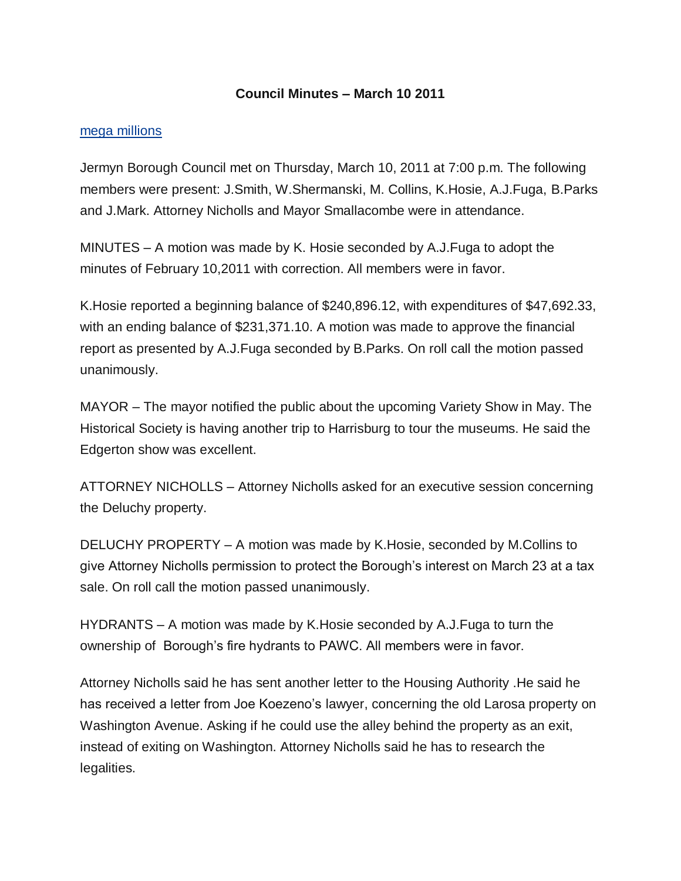## **Council Minutes – March 10 2011**

## [mega millions](http://biolot.org/megamillions)

Jermyn Borough Council met on Thursday, March 10, 2011 at 7:00 p.m. The following members were present: J.Smith, W.Shermanski, M. Collins, K.Hosie, A.J.Fuga, B.Parks and J.Mark. Attorney Nicholls and Mayor Smallacombe were in attendance.

MINUTES – A motion was made by K. Hosie seconded by A.J.Fuga to adopt the minutes of February 10,2011 with correction. All members were in favor.

K.Hosie reported a beginning balance of \$240,896.12, with expenditures of \$47,692.33, with an ending balance of \$231,371.10. A motion was made to approve the financial report as presented by A.J.Fuga seconded by B.Parks. On roll call the motion passed unanimously.

MAYOR – The mayor notified the public about the upcoming Variety Show in May. The Historical Society is having another trip to Harrisburg to tour the museums. He said the Edgerton show was excellent.

ATTORNEY NICHOLLS – Attorney Nicholls asked for an executive session concerning the Deluchy property.

DELUCHY PROPERTY – A motion was made by K.Hosie, seconded by M.Collins to give Attorney Nicholls permission to protect the Borough's interest on March 23 at a tax sale. On roll call the motion passed unanimously.

HYDRANTS – A motion was made by K.Hosie seconded by A.J.Fuga to turn the ownership of Borough's fire hydrants to PAWC. All members were in favor.

Attorney Nicholls said he has sent another letter to the Housing Authority .He said he has received a letter from Joe Koezeno's lawyer, concerning the old Larosa property on Washington Avenue. Asking if he could use the alley behind the property as an exit, instead of exiting on Washington. Attorney Nicholls said he has to research the legalities.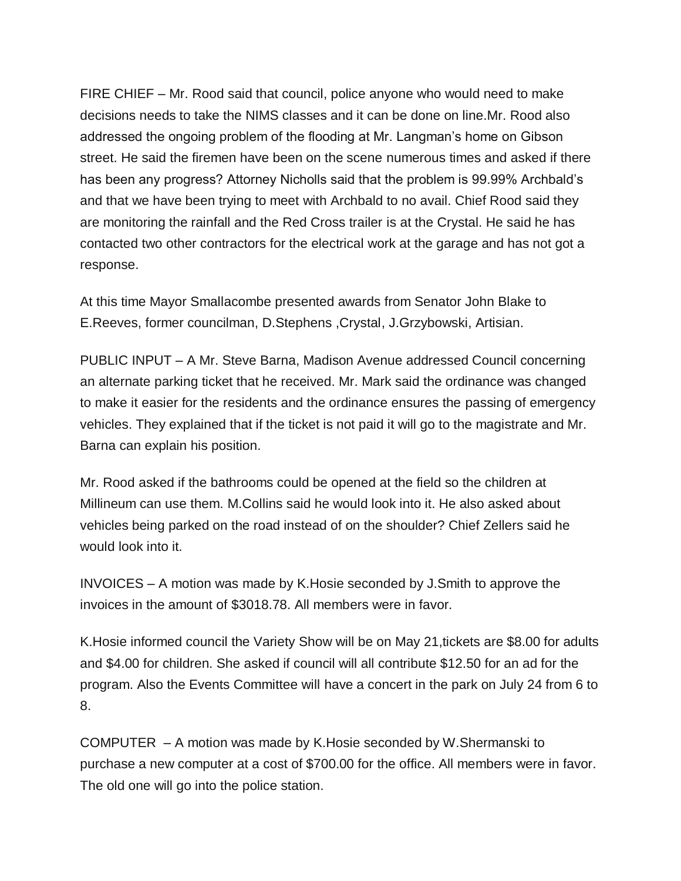FIRE CHIEF – Mr. Rood said that council, police anyone who would need to make decisions needs to take the NIMS classes and it can be done on line.Mr. Rood also addressed the ongoing problem of the flooding at Mr. Langman's home on Gibson street. He said the firemen have been on the scene numerous times and asked if there has been any progress? Attorney Nicholls said that the problem is 99.99% Archbald's and that we have been trying to meet with Archbald to no avail. Chief Rood said they are monitoring the rainfall and the Red Cross trailer is at the Crystal. He said he has contacted two other contractors for the electrical work at the garage and has not got a response.

At this time Mayor Smallacombe presented awards from Senator John Blake to E.Reeves, former councilman, D.Stephens ,Crystal, J.Grzybowski, Artisian.

PUBLIC INPUT – A Mr. Steve Barna, Madison Avenue addressed Council concerning an alternate parking ticket that he received. Mr. Mark said the ordinance was changed to make it easier for the residents and the ordinance ensures the passing of emergency vehicles. They explained that if the ticket is not paid it will go to the magistrate and Mr. Barna can explain his position.

Mr. Rood asked if the bathrooms could be opened at the field so the children at Millineum can use them. M.Collins said he would look into it. He also asked about vehicles being parked on the road instead of on the shoulder? Chief Zellers said he would look into it.

INVOICES – A motion was made by K.Hosie seconded by J.Smith to approve the invoices in the amount of \$3018.78. All members were in favor.

K.Hosie informed council the Variety Show will be on May 21,tickets are \$8.00 for adults and \$4.00 for children. She asked if council will all contribute \$12.50 for an ad for the program. Also the Events Committee will have a concert in the park on July 24 from 6 to 8.

COMPUTER – A motion was made by K.Hosie seconded by W.Shermanski to purchase a new computer at a cost of \$700.00 for the office. All members were in favor. The old one will go into the police station.